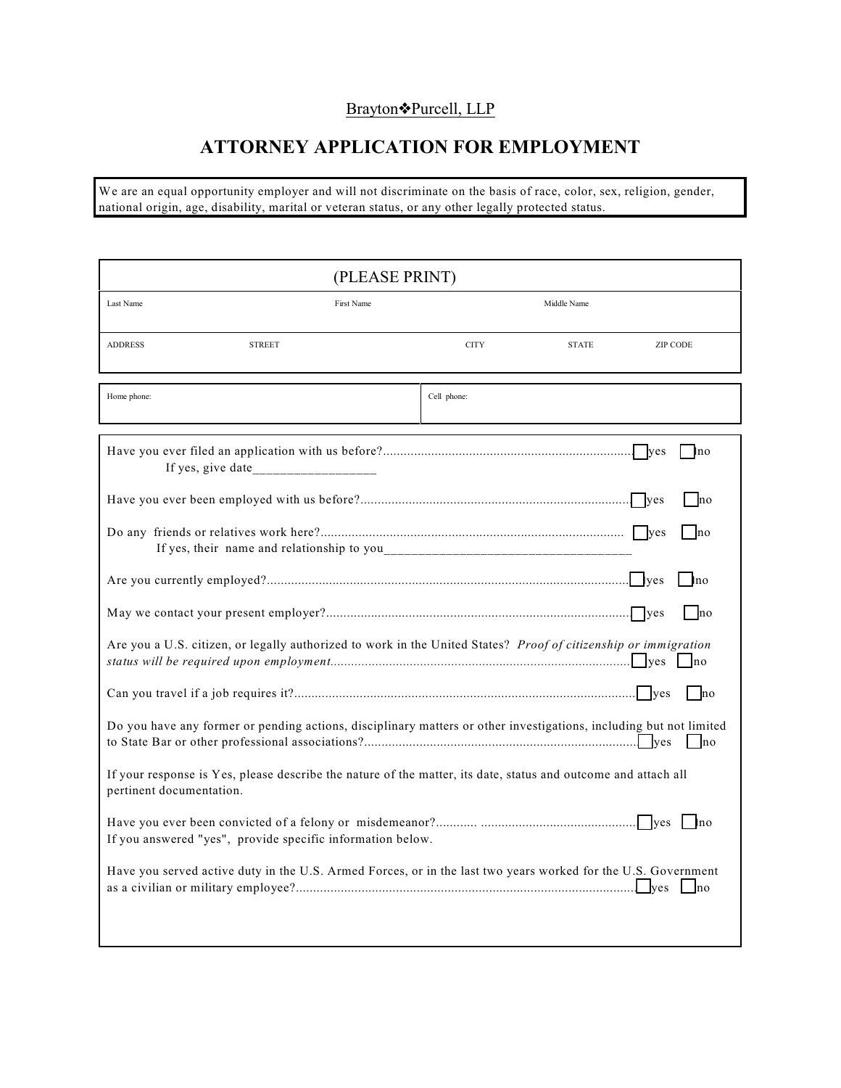### Brayton<sup>•</sup>Purcell, LLP

# **ATTORNEY APPLICATION FOR EMPLOYMENT**

We are an equal opportunity employer and will not discriminate on the basis of race, color, sex, religion, gender, national origin, age, disability, marital or veteran status, or any other legally protected status.

| (PLEASE PRINT)                                                                                                                             |             |              |               |
|--------------------------------------------------------------------------------------------------------------------------------------------|-------------|--------------|---------------|
| Last Name<br>First Name                                                                                                                    |             | Middle Name  |               |
| <b>ADDRESS</b><br><b>STREET</b>                                                                                                            | <b>CITY</b> | <b>STATE</b> | ZIP CODE      |
| Home phone:                                                                                                                                | Cell phone: |              |               |
|                                                                                                                                            |             |              | l lno         |
|                                                                                                                                            |             |              | <b>Ino</b>    |
|                                                                                                                                            |             |              | lno           |
|                                                                                                                                            |             |              | no            |
|                                                                                                                                            |             |              | no            |
| Are you a U.S. citizen, or legally authorized to work in the United States? Proof of citizenship or immigration                            |             |              |               |
|                                                                                                                                            |             |              | <sub>no</sub> |
| Do you have any former or pending actions, disciplinary matters or other investigations, including but not limited                         |             |              | $\ln 0$       |
| If your response is Yes, please describe the nature of the matter, its date, status and outcome and attach all<br>pertinent documentation. |             |              |               |
| If you answered "yes", provide specific information below.                                                                                 |             |              | ln 0          |
| Have you served active duty in the U.S. Armed Forces, or in the last two years worked for the U.S. Government                              |             |              |               |
|                                                                                                                                            |             |              |               |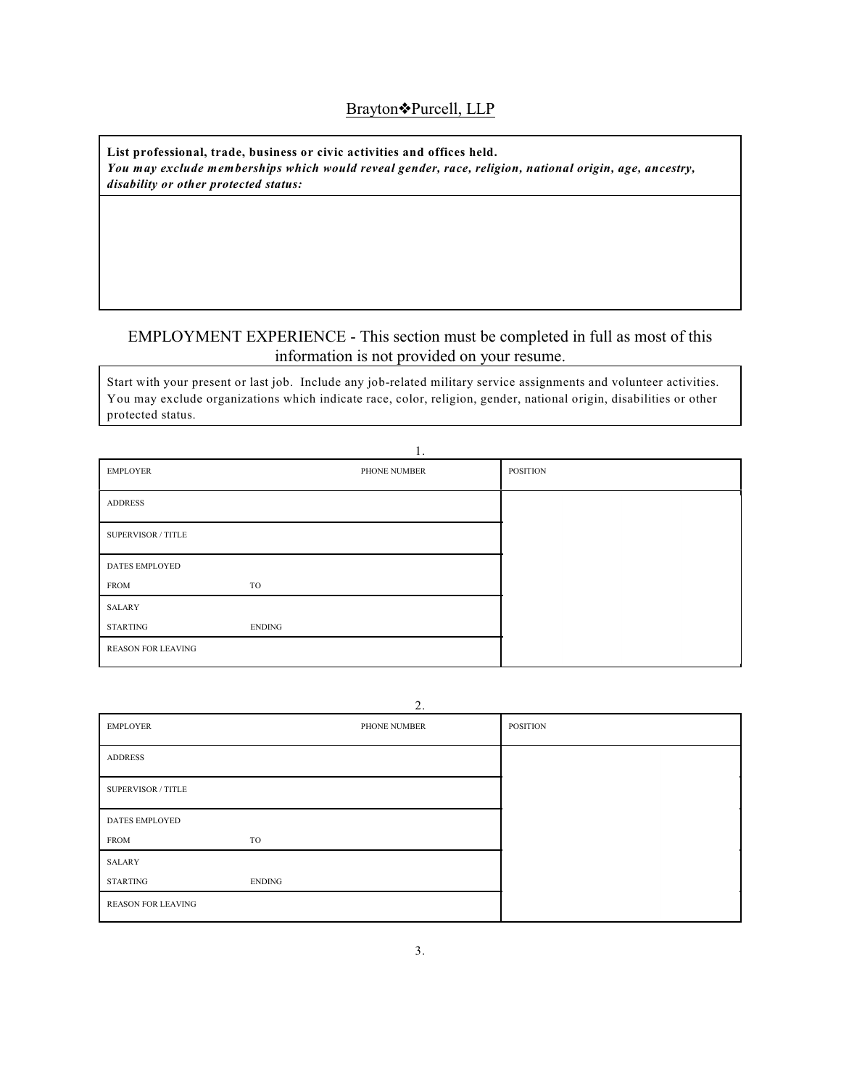#### Brayton<sup>•</sup>Purcell, LLP

**List professional, trade, business or civic activities and offices held.** *You may exclude memberships which would reveal gender, race, religion, national origin, age, ancestry, disability or other protected status:*

#### EMPLOYMENT EXPERIENCE - This section must be completed in full as most of this information is not provided on your resume.

Start with your present or last job. Include any job-related military service assignments and volunteer activities. You may exclude organizations which indicate race, color, religion, gender, national origin, disabilities or other protected status.

|                           | 1.            |          |
|---------------------------|---------------|----------|
| <b>EMPLOYER</b>           | PHONE NUMBER  | POSITION |
| <b>ADDRESS</b>            |               |          |
| SUPERVISOR / TITLE        |               |          |
| <b>DATES EMPLOYED</b>     |               |          |
| <b>FROM</b>               | TO            |          |
| <b>SALARY</b>             |               |          |
| <b>STARTING</b>           | <b>ENDING</b> |          |
| <b>REASON FOR LEAVING</b> |               |          |

 $\overline{2}$ .

|                           | $\overline{a}$ . |                 |
|---------------------------|------------------|-----------------|
| <b>EMPLOYER</b>           | PHONE NUMBER     | <b>POSITION</b> |
| <b>ADDRESS</b>            |                  |                 |
| <b>SUPERVISOR / TITLE</b> |                  |                 |
| <b>DATES EMPLOYED</b>     |                  |                 |
| <b>FROM</b>               | TO               |                 |
| SALARY                    |                  |                 |
| STARTING                  | <b>ENDING</b>    |                 |
| <b>REASON FOR LEAVING</b> |                  |                 |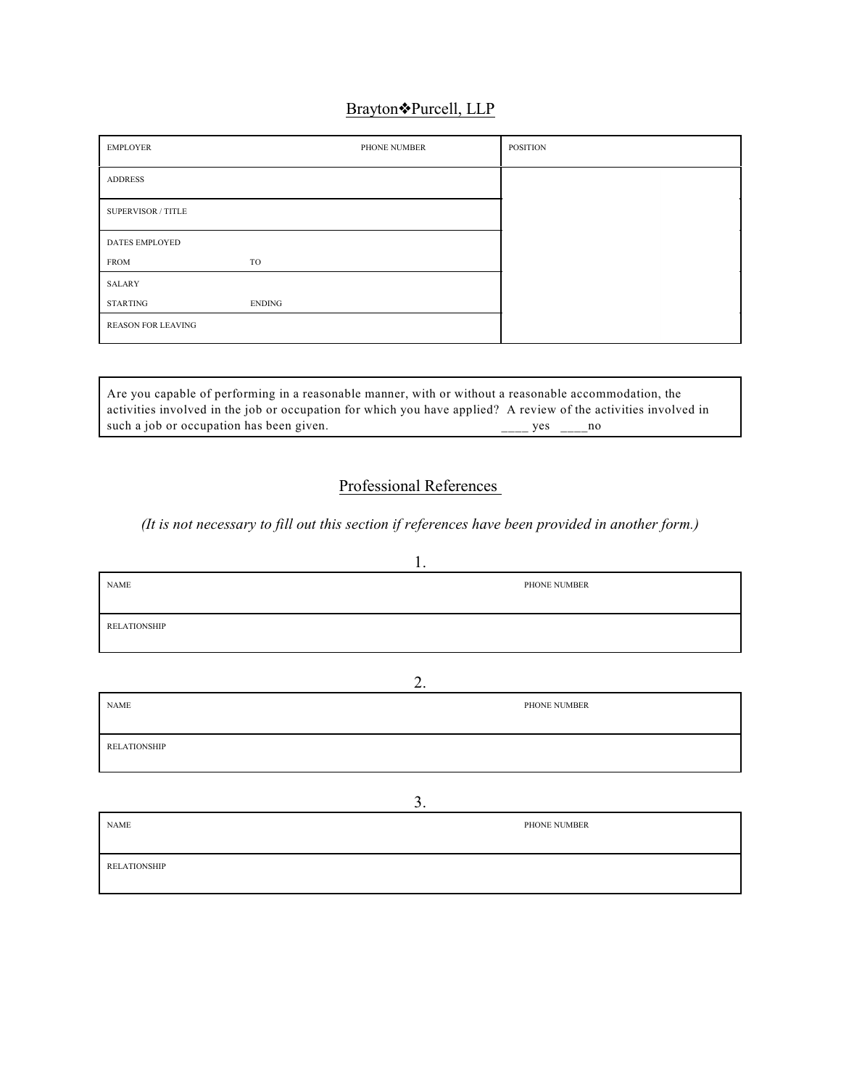# Brayton<sup>•</sup>Purcell, LLP

| <b>EMPLOYER</b>           |        | PHONE NUMBER | <b>POSITION</b> |
|---------------------------|--------|--------------|-----------------|
| <b>ADDRESS</b>            |        |              |                 |
| <b>SUPERVISOR / TITLE</b> |        |              |                 |
| <b>DATES EMPLOYED</b>     |        |              |                 |
| <b>FROM</b>               | TO     |              |                 |
| <b>SALARY</b>             |        |              |                 |
| <b>STARTING</b>           | ENDING |              |                 |
| <b>REASON FOR LEAVING</b> |        |              |                 |

Are you capable of performing in a reasonable manner, with or without a reasonable accommodation, the activities involved in the job or occupation for which you have applied? A review of the activities involved in such a job or occupation has been given.  $\frac{1}{2}$  yes  $\frac{1}{2}$  yes  $\frac{1}{2}$ 

## Professional References

#### *(It is not necessary to fill out this section if references have been provided in another form.)*

|                              | 1. |              |  |
|------------------------------|----|--------------|--|
| $\ensuremath{\mathsf{NAME}}$ |    | PHONE NUMBER |  |
|                              |    |              |  |
| <b>RELATIONSHIP</b>          |    |              |  |
|                              |    |              |  |
|                              | 2. |              |  |
|                              |    |              |  |
| <b>NAME</b>                  |    | PHONE NUMBER |  |
|                              |    |              |  |
| <b>RELATIONSHIP</b>          |    |              |  |
|                              |    |              |  |
|                              |    |              |  |
|                              | 3. |              |  |
| <b>NAME</b>                  |    | PHONE NUMBER |  |
|                              |    |              |  |
| <b>RELATIONSHIP</b>          |    |              |  |
|                              |    |              |  |
|                              |    |              |  |